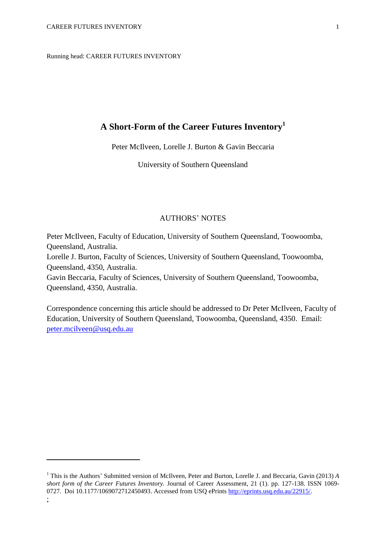Running head: CAREER FUTURES INVENTORY

# **A Short-Form of the Career Futures Inventory<sup>1</sup>**

Peter McIlveen, Lorelle J. Burton & Gavin Beccaria

University of Southern Queensland

# AUTHORS' NOTES

Peter McIlveen, Faculty of Education, University of Southern Queensland, Toowoomba, Queensland, Australia.

Lorelle J. Burton, Faculty of Sciences, University of Southern Queensland, Toowoomba, Queensland, 4350, Australia.

Gavin Beccaria, Faculty of Sciences, University of Southern Queensland, Toowoomba, Queensland, 4350, Australia.

Correspondence concerning this article should be addressed to Dr Peter McIlveen, Faculty of Education, University of Southern Queensland, Toowoomba, Queensland, 4350. Email: [peter.mcilveen@usq.edu.au](mailto:peter.mcilveen@usq.edu.au)

1

<sup>1</sup> This is the Authors' Submitted version of McIlveen, Peter and Burton, Lorelle J. and Beccaria, Gavin (2013) *A short form of the Career Futures Inventory.* Journal of Career Assessment, 21 (1). pp. 127-138. ISSN 1069- 0727. Doi 10.1177/1069072712450493. Accessed from USQ ePrints [http://eprints.usq.edu.au/22915/.](http://eprints.usq.edu.au/22915/)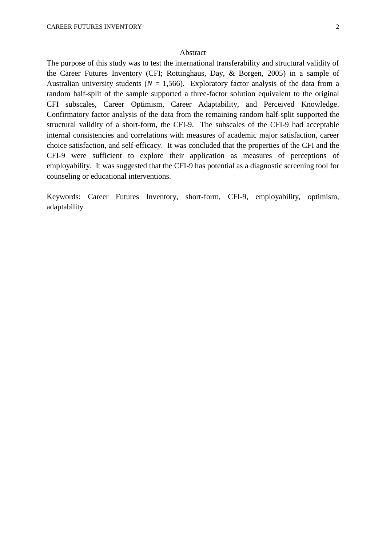## Abstract

The purpose of this study was to test the international transferability and structural validity of the Career Futures Inventory [\(CFI; Rottinghaus, Day, & Borgen, 2005\)](#page-10-0) in a sample of Australian university students ( $N = 1,566$ ). Exploratory factor analysis of the data from a random half-split of the sample supported a three-factor solution equivalent to the original CFI subscales, Career Optimism, Career Adaptability, and Perceived Knowledge. Confirmatory factor analysis of the data from the remaining random half-split supported the structural validity of a short-form, the CFI-9. The subscales of the CFI-9 had acceptable internal consistencies and correlations with measures of academic major satisfaction, career choice satisfaction, and self-efficacy. It was concluded that the properties of the CFI and the CFI-9 were sufficient to explore their application as measures of perceptions of employability. It was suggested that the CFI-9 has potential as a diagnostic screening tool for counseling or educational interventions.

Keywords: Career Futures Inventory, short-form, CFI-9, employability, optimism, adaptability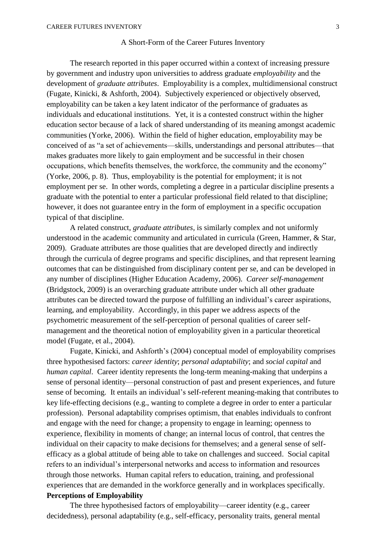## A Short-Form of the Career Futures Inventory

The research reported in this paper occurred within a context of increasing pressure by government and industry upon universities to address graduate *employability* and the development of *graduate attributes*. Employability is a complex, multidimensional construct [\(Fugate, Kinicki, & Ashforth, 2004\)](#page-10-1). Subjectively experienced or objectively observed, employability can be taken a key latent indicator of the performance of graduates as individuals and educational institutions. Yet, it is a contested construct within the higher education sector because of a lack of shared understanding of its meaning amongst academic communities [\(Yorke, 2006\)](#page-11-0). Within the field of higher education, employability may be conceived of as "a set of achievements—skills, understandings and personal attributes—that makes graduates more likely to gain employment and be successful in their chosen occupations, which benefits themselves, the workforce, the community and the economy" (Yorke, 2006, p. 8). Thus, employability is the potential for employment; it is not employment per se. In other words, completing a degree in a particular discipline presents a graduate with the potential to enter a particular professional field related to that discipline; however, it does not guarantee entry in the form of employment in a specific occupation typical of that discipline.

A related construct, *graduate attributes,* is similarly complex and not uniformly understood in the academic community and articulated in curricula [\(Green, Hammer, & Star,](#page-10-2)  [2009\)](#page-10-2). Graduate attributes are those qualities that are developed directly and indirectly through the curricula of degree programs and specific disciplines, and that represent learning outcomes that can be distinguished from disciplinary content per se, and can be developed in any number of disciplines [\(Higher Education Academy, 2006\)](#page-10-3). *Career self-management* [\(Bridgstock, 2009\)](#page-10-4) is an overarching graduate attribute under which all other graduate attributes can be directed toward the purpose of fulfilling an individual's career aspirations, learning, and employability. Accordingly, in this paper we address aspects of the psychometric measurement of the self-perception of personal qualities of career selfmanagement and the theoretical notion of employability given in a particular theoretical model [\(Fugate, et al., 2004\)](#page-10-1).

Fugate, Kinicki, and Ashforth's (2004) conceptual model of employability comprises three hypothesised factors: *career identity*; *personal adaptability*; and *social capital* and *human capital.* Career identity represents the long-term meaning-making that underpins a sense of personal identity—personal construction of past and present experiences, and future sense of becoming. It entails an individual's self-referent meaning-making that contributes to key life-effecting decisions (e.g., wanting to complete a degree in order to enter a particular profession). Personal adaptability comprises optimism, that enables individuals to confront and engage with the need for change; a propensity to engage in learning; openness to experience, flexibility in moments of change; an internal locus of control, that centres the individual on their capacity to make decisions for themselves; and a general sense of selfefficacy as a global attitude of being able to take on challenges and succeed. Social capital refers to an individual's interpersonal networks and access to information and resources through those networks. Human capital refers to education, training, and professional experiences that are demanded in the workforce generally and in workplaces specifically. **Perceptions of Employability**

The three hypothesised factors of employability—career identity (e.g., career decidedness), personal adaptability (e.g., self-efficacy, personality traits, general mental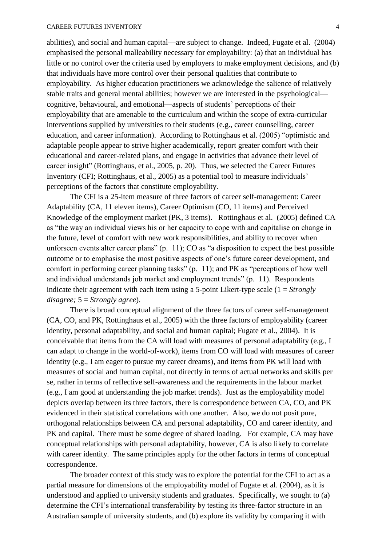abilities), and social and human capital—are subject to change. Indeed, Fugate et al. (2004) emphasised the personal malleability necessary for employability: (a) that an individual has little or no control over the criteria used by employers to make employment decisions, and (b) that individuals have more control over their personal qualities that contribute to employability. As higher education practitioners we acknowledge the salience of relatively stable traits and general mental abilities; however we are interested in the psychological cognitive, behavioural, and emotional—aspects of students' perceptions of their employability that are amenable to the curriculum and within the scope of extra-curricular interventions supplied by universities to their students (e.g., career counselling, career education, and career information). According to Rottinghaus et al. (2005) "optimistic and adaptable people appear to strive higher academically, report greater comfort with their educational and career-related plans, and engage in activities that advance their level of career insight" [\(Rottinghaus, et al., 2005, p. 20\)](#page-10-0). Thus, we selected the Career Futures Inventory [\(CFI; Rottinghaus, et al., 2005\)](#page-10-0) as a potential tool to measure individuals' perceptions of the factors that constitute employability.

The CFI is a 25-item measure of three factors of career self-management: Career Adaptability (CA, 11 eleven items), Career Optimism (CO, 11 items) and Perceived Knowledge of the employment market (PK, 3 items). Rottinghaus et al. (2005) defined CA as "the way an individual views his or her capacity to cope with and capitalise on change in the future, level of comfort with new work responsibilities, and ability to recover when unforseen events alter career plans" (p. 11); CO as "a disposition to expect the best possible outcome or to emphasise the most positive aspects of one's future career development, and comfort in performing career planning tasks" (p. 11); and PK as "perceptions of how well and individual understands job market and employment trends" (p. 11). Respondents indicate their agreement with each item using a 5-point Likert-type scale (1 = *Strongly disagree;* 5 = *Strongly agree*).

There is broad conceptual alignment of the three factors of career self-management (CA, CO, and PK, Rottinghaus et al., 2005) with the three factors of employability (career identity, personal adaptability, and social and human capital; Fugate et al., 2004). It is conceivable that items from the CA will load with measures of personal adaptability (e.g., I can adapt to change in the world-of-work), items from CO will load with measures of career identity (e.g., I am eager to pursue my career dreams), and items from PK will load with measures of social and human capital, not directly in terms of actual networks and skills per se, rather in terms of reflective self-awareness and the requirements in the labour market (e.g., I am good at understanding the job market trends). Just as the employability model depicts overlap between its three factors, there is correspondence between CA, CO, and PK evidenced in their statistical correlations with one another. Also, we do not posit pure, orthogonal relationships between CA and personal adaptability, CO and career identity, and PK and capital. There must be some degree of shared loading. For example, CA may have conceptual relationships with personal adaptability, however, CA is also likely to correlate with career identity. The same principles apply for the other factors in terms of conceptual correspondence.

The broader context of this study was to explore the potential for the CFI to act as a partial measure for dimensions of the employability model of Fugate et al. (2004), as it is understood and applied to university students and graduates. Specifically, we sought to (a) determine the CFI's international transferability by testing its three-factor structure in an Australian sample of university students, and (b) explore its validity by comparing it with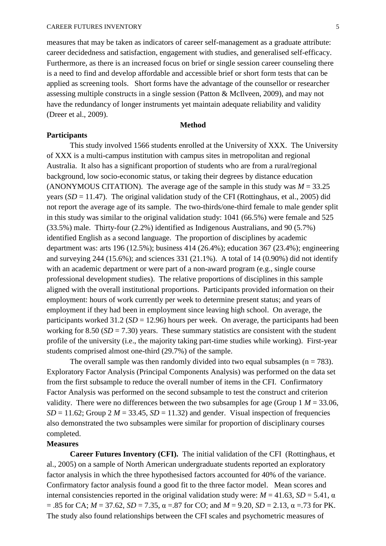measures that may be taken as indicators of career self-management as a graduate attribute: career decidedness and satisfaction, engagement with studies, and generalised self-efficacy. Furthermore, as there is an increased focus on brief or single session career counseling there is a need to find and develop affordable and accessible brief or short form tests that can be applied as screening tools. Short forms have the advantage of the counsellor or researcher assessing multiple constructs in a single session [\(Patton & McIlveen, 2009\)](#page-10-5), and may not have the redundancy of longer instruments yet maintain adequate reliability and validity [\(Dreer et al., 2009\)](#page-10-6).

## **Method**

## **Participants**

This study involved 1566 students enrolled at the University of XXX. The University of XXX is a multi-campus institution with campus sites in metropolitan and regional Australia. It also has a significant proportion of students who are from a rural/regional background, low socio-economic status, or taking their degrees by distance education (ANONYMOUS CITATION). The average age of the sample in this study was  $M = 33.25$ years  $(SD = 11.47)$ . The original validation study of the CFI [\(Rottinghaus, et al., 2005\)](#page-10-0) did not report the average age of its sample. The two-thirds/one-third female to male gender split in this study was similar to the original validation study: 1041 (66.5%) were female and 525 (33.5%) male. Thirty-four (2.2%) identified as Indigenous Australians, and 90 (5.7%) identified English as a second language. The proportion of disciplines by academic department was: arts 196 (12.5%); business 414 (26.4%); education 367 (23.4%); engineering and surveying 244 (15.6%); and sciences 331 (21.1%). A total of 14 (0.90%) did not identify with an academic department or were part of a non-award program (e.g., single course professional development studies). The relative proportions of disciplines in this sample aligned with the overall institutional proportions. Participants provided information on their employment: hours of work currently per week to determine present status; and years of employment if they had been in employment since leaving high school. On average, the participants worked  $31.2$  ( $SD = 12.96$ ) hours per week. On average, the participants had been working for  $8.50$  ( $SD = 7.30$ ) years. These summary statistics are consistent with the student profile of the university (i.e., the majority taking part-time studies while working). First-year students comprised almost one-third (29.7%) of the sample.

The overall sample was then randomly divided into two equal subsamples ( $n = 783$ ). Exploratory Factor Analysis (Principal Components Analysis) was performed on the data set from the first subsample to reduce the overall number of items in the CFI. Confirmatory Factor Analysis was performed on the second subsample to test the construct and criterion validity. There were no differences between the two subsamples for age (Group  $1 M = 33.06$ ,  $SD = 11.62$ ; Group 2  $M = 33.45$ ,  $SD = 11.32$ ) and gender. Visual inspection of frequencies also demonstrated the two subsamples were similar for proportion of disciplinary courses completed.

# **Measures**

**Career Futures Inventory (CFI).** The initial validation of the CFI [\(Rottinghaus, et](#page-10-0)  [al., 2005\)](#page-10-0) on a sample of North American undergraduate students reported an exploratory factor analysis in which the three hypothesised factors accounted for 40% of the variance. Confirmatory factor analysis found a good fit to the three factor model. Mean scores and internal consistencies reported in the original validation study were:  $M = 41.63$ ,  $SD = 5.41$ ,  $\alpha$  $= .85$  for CA; *M* = 37.62, *SD* = 7.35, α = 87 for CO; and *M* = 9.20, *SD* = 2.13, α = 73 for PK. The study also found relationships between the CFI scales and psychometric measures of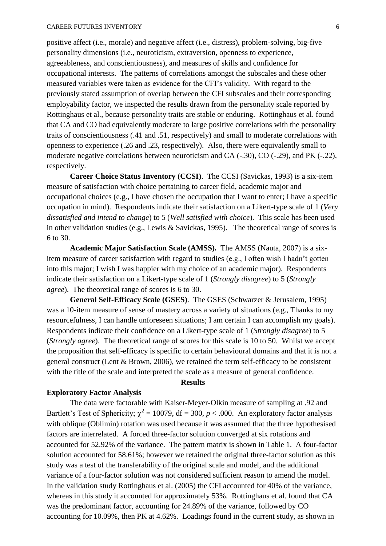positive affect (i.e., morale) and negative affect (i.e., distress), problem-solving, big-five personality dimensions (i.e., neuroticism, extraversion, openness to experience, agreeableness, and conscientiousness), and measures of skills and confidence for occupational interests. The patterns of correlations amongst the subscales and these other measured variables were taken as evidence for the CFI's validity. With regard to the previously stated assumption of overlap between the CFI subscales and their corresponding employability factor, we inspected the results drawn from the personality scale reported by Rottinghaus et al., because personality traits are stable or enduring. Rottinghaus et al. found that CA and CO had equivalently moderate to large positive correlations with the personality traits of conscientiousness (.41 and .51, respectively) and small to moderate correlations with openness to experience (.26 and .23, respectively). Also, there were equivalently small to moderate negative correlations between neuroticism and CA (-.30), CO (-.29), and PK (-.22), respectively.

**Career Choice Status Inventory (CCSI)**. The CCSI [\(Savickas, 1993\)](#page-10-7) is a six-item measure of satisfaction with choice pertaining to career field, academic major and occupational choices (e.g., I have chosen the occupation that I want to enter; I have a specific occupation in mind). Respondents indicate their satisfaction on a Likert-type scale of 1 (*Very dissatisfied and intend to change*) to 5 (*Well satisfied with choice*). This scale has been used in other validation studies [\(e.g., Lewis & Savickas, 1995\)](#page-10-8). The theoretical range of scores is 6 to 30.

**Academic Major Satisfaction Scale (AMSS).** The AMSS [\(Nauta, 2007\)](#page-10-9) is a sixitem measure of career satisfaction with regard to studies (e.g., I often wish I hadn't gotten into this major; I wish I was happier with my choice of an academic major). Respondents indicate their satisfaction on a Likert-type scale of 1 (*Strongly disagree*) to 5 (*Strongly agree*). The theoretical range of scores is 6 to 30.

**General Self-Efficacy Scale (GSES)**. The GSES [\(Schwarzer & Jerusalem, 1995\)](#page-10-10) was a 10-item measure of sense of mastery across a variety of situations (e.g., Thanks to my resourcefulness, I can handle unforeseen situations; I am certain I can accomplish my goals). Respondents indicate their confidence on a Likert-type scale of 1 (*Strongly disagree*) to 5 (*Strongly agree*). The theoretical range of scores for this scale is 10 to 50. Whilst we accept the proposition that self-efficacy is specific to certain behavioural domains and that it is not a general construct [\(Lent & Brown, 2006\)](#page-10-11), we retained the term self-efficacy to be consistent with the title of the scale and interpreted the scale as a measure of general confidence.

#### **Results**

#### **Exploratory Factor Analysis**

The data were factorable with Kaiser-Meyer-Olkin measure of sampling at .92 and Bartlett's Test of Sphericity;  $\chi^2 = 10079$ , df = 300,  $p < .000$ . An exploratory factor analysis with oblique (Oblimin) rotation was used because it was assumed that the three hypothesised factors are interrelated. A forced three-factor solution converged at six rotations and accounted for 52.92% of the variance. The pattern matrix is shown in Table 1. A four-factor solution accounted for 58.61%; however we retained the original three-factor solution as this study was a test of the transferability of the original scale and model, and the additional variance of a four-factor solution was not considered sufficient reason to amend the model. In the validation study Rottinghaus et al. (2005) the CFI accounted for 40% of the variance, whereas in this study it accounted for approximately 53%. Rottinghaus et al. found that CA was the predominant factor, accounting for 24.89% of the variance, followed by CO accounting for 10.09%, then PK at 4.62%. Loadings found in the current study, as shown in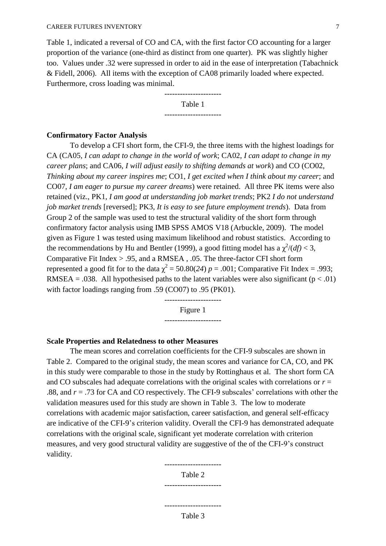Table 1, indicated a reversal of CO and CA, with the first factor CO accounting for a larger proportion of the variance (one-third as distinct from one quarter). PK was slightly higher too. Values under .32 were supressed in order to aid in the ease of interpretation [\(Tabachnick](#page-10-12)  [& Fidell, 2006\)](#page-10-12). All items with the exception of CA08 primarily loaded where expected. Furthermore, cross loading was minimal.

> ---------------------- Table 1 ----------------------

# **Confirmatory Factor Analysis**

To develop a CFI short form, the CFI-9, the three items with the highest loadings for CA (CA05, *I can adapt to change in the world of work*; CA02, *I can adapt to change in my career plans*; and CA06*, I will adjust easily to shifting demands at work*) and CO (CO02, *Thinking about my career inspires me*; CO1, *I get excited when I think about my career*; and CO07, *I am eager to pursue my career dreams*) were retained. All three PK items were also retained (viz., PK1, *I am good at understanding job market trends*; PK2 *I do not understand job market trends* [reversed]; PK3, *It is easy to see future employment trends*). Data from Group 2 of the sample was used to test the structural validity of the short form through confirmatory factor analysis using IMB SPSS AMOS V18 (Arbuckle, 2009). The model given as Figure 1 was tested using maximum likelihood and robust statistics. According to the recommendations by Hu and Bentler [\(1999\)](#page-10-13), a good fitting model has a  $\chi^2/(df) < 3$ , Comparative Fit Index > .95, and a RMSEA , .05. The three-factor CFI short form represented a good fit for to the data  $\chi^2$  = 50.80(24) *p* = .001; Comparative Fit Index = .993; RMSEA = .038. All hypothesised paths to the latent variables were also significant ( $p < .01$ ) with factor loadings ranging from .59 (CO07) to .95 (PK01).

> ---------------------- Figure 1

> ----------------------

### **Scale Properties and Relatedness to other Measures**

The mean scores and correlation coefficients for the CFI-9 subscales are shown in Table 2. Compared to the original study, the mean scores and variance for CA, CO, and PK in this study were comparable to those in the study by Rottinghaus et al. The short form CA and CO subscales had adequate correlations with the original scales with correlations or *r* = .88, and *r* = .73 for CA and CO respectively. The CFI-9 subscales' correlations with other the validation measures used for this study are shown in Table 3. The low to moderate correlations with academic major satisfaction, career satisfaction, and general self-efficacy are indicative of the CFI-9's criterion validity. Overall the CFI-9 has demonstrated adequate correlations with the original scale, significant yet moderate correlation with criterion measures, and very good structural validity are suggestive of the of the CFI-9's construct validity.

> ---------------------- Table 2

# ----------------------

---------------------- Table 3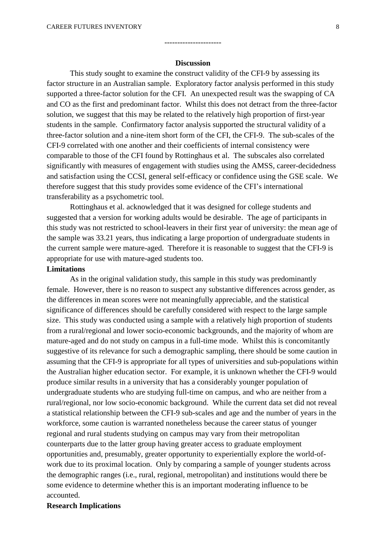#### **Discussion**

----------------------

This study sought to examine the construct validity of the CFI-9 by assessing its factor structure in an Australian sample. Exploratory factor analysis performed in this study supported a three-factor solution for the CFI. An unexpected result was the swapping of CA and CO as the first and predominant factor. Whilst this does not detract from the three-factor solution, we suggest that this may be related to the relatively high proportion of first-year students in the sample. Confirmatory factor analysis supported the structural validity of a three-factor solution and a nine-item short form of the CFI, the CFI-9. The sub-scales of the CFI-9 correlated with one another and their coefficients of internal consistency were comparable to those of the CFI found by Rottinghaus et al. The subscales also correlated significantly with measures of engagement with studies using the AMSS, career-decidedness and satisfaction using the CCSI, general self-efficacy or confidence using the GSE scale. We therefore suggest that this study provides some evidence of the CFI's international transferability as a psychometric tool.

Rottinghaus et al. acknowledged that it was designed for college students and suggested that a version for working adults would be desirable. The age of participants in this study was not restricted to school-leavers in their first year of university: the mean age of the sample was 33.21 years, thus indicating a large proportion of undergraduate students in the current sample were mature-aged. Therefore it is reasonable to suggest that the CFI-9 is appropriate for use with mature-aged students too.

## **Limitations**

As in the original validation study, this sample in this study was predominantly female. However, there is no reason to suspect any substantive differences across gender, as the differences in mean scores were not meaningfully appreciable, and the statistical significance of differences should be carefully considered with respect to the large sample size. This study was conducted using a sample with a relatively high proportion of students from a rural/regional and lower socio-economic backgrounds, and the majority of whom are mature-aged and do not study on campus in a full-time mode. Whilst this is concomitantly suggestive of its relevance for such a demographic sampling, there should be some caution in assuming that the CFI-9 is appropriate for all types of universities and sub-populations within the Australian higher education sector. For example, it is unknown whether the CFI-9 would produce similar results in a university that has a considerably younger population of undergraduate students who are studying full-time on campus, and who are neither from a rural/regional, nor low socio-economic background. While the current data set did not reveal a statistical relationship between the CFI-9 sub-scales and age and the number of years in the workforce, some caution is warranted nonetheless because the career status of younger regional and rural students studying on campus may vary from their metropolitan counterparts due to the latter group having greater access to graduate employment opportunities and, presumably, greater opportunity to experientially explore the world-ofwork due to its proximal location. Only by comparing a sample of younger students across the demographic ranges (i.e., rural, regional, metropolitan) and institutions would there be some evidence to determine whether this is an important moderating influence to be accounted.

## **Research Implications**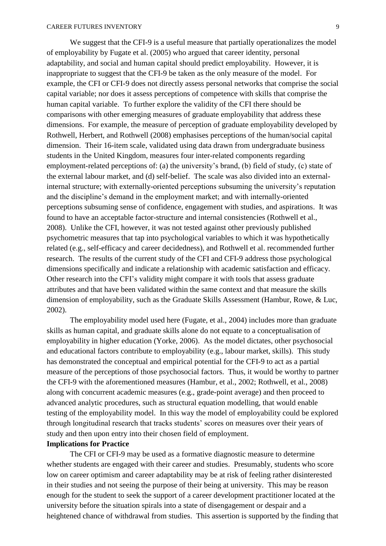We suggest that the CFI-9 is a useful measure that partially operationalizes the model of employability by Fugate et al. (2005) who argued that career identity, personal adaptability, and social and human capital should predict employability. However, it is inappropriate to suggest that the CFI-9 be taken as the only measure of the model. For example, the CFI or CFI-9 does not directly assess personal networks that comprise the social capital variable; nor does it assess perceptions of competence with skills that comprise the human capital variable. To further explore the validity of the CFI there should be comparisons with other emerging measures of graduate employability that address these dimensions. For example, the measure of perception of graduate employability developed by Rothwell, Herbert, and Rothwell [\(2008\)](#page-10-14) emphasises perceptions of the human/social capital dimension. Their 16-item scale, validated using data drawn from undergraduate business students in the United Kingdom, measures four inter-related components regarding employment-related perceptions of: (a) the university's brand, (b) field of study, (c) state of the external labour market, and (d) self-belief. The scale was also divided into an externalinternal structure; with externally-oriented perceptions subsuming the university's reputation and the discipline's demand in the employment market; and with internally-oriented perceptions subsuming sense of confidence, engagement with studies, and aspirations. It was found to have an acceptable factor-structure and internal consistencies (Rothwell et al., 2008). Unlike the CFI, however, it was not tested against other previously published psychometric measures that tap into psychological variables to which it was hypothetically related (e.g., self-efficacy and career decidedness), and Rothwell et al. recommended further research. The results of the current study of the CFI and CFI-9 address those psychological dimensions specifically and indicate a relationship with academic satisfaction and efficacy. Other research into the CFI's validity might compare it with tools that assess graduate attributes and that have been validated within the same context and that measure the skills dimension of employability, such as the Graduate Skills Assessment [\(Hambur, Rowe, & Luc,](#page-10-15)  [2002\)](#page-10-15).

The employability model used here [\(Fugate, et al., 2004\)](#page-10-1) includes more than graduate skills as human capital, and graduate skills alone do not equate to a conceptualisation of employability in higher education [\(Yorke, 2006\)](#page-11-0). As the model dictates, other psychosocial and educational factors contribute to employability (e.g., labour market, skills). This study has demonstrated the conceptual and empirical potential for the CFI-9 to act as a partial measure of the perceptions of those psychosocial factors. Thus, it would be worthy to partner the CFI-9 with the aforementioned measures [\(Hambur, et al., 2002;](#page-10-15) [Rothwell, et al., 2008\)](#page-10-14) along with concurrent academic measures (e.g., grade-point average) and then proceed to advanced analytic procedures, such as structural equation modelling, that would enable testing of the employability model. In this way the model of employability could be explored through longitudinal research that tracks students' scores on measures over their years of study and then upon entry into their chosen field of employment.

# **Implications for Practice**

The CFI or CFI-9 may be used as a formative diagnostic measure to determine whether students are engaged with their career and studies. Presumably, students who score low on career optimism and career adaptability may be at risk of feeling rather disinterested in their studies and not seeing the purpose of their being at university. This may be reason enough for the student to seek the support of a career development practitioner located at the university before the situation spirals into a state of disengagement or despair and a heightened chance of withdrawal from studies. This assertion is supported by the finding that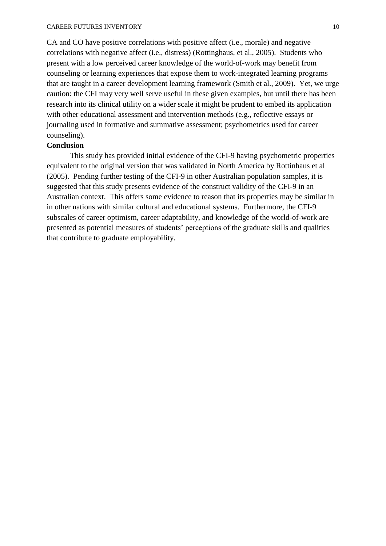CA and CO have positive correlations with positive affect (i.e., morale) and negative correlations with negative affect (i.e., distress) [\(Rottinghaus, et al., 2005\)](#page-10-0). Students who present with a low perceived career knowledge of the world-of-work may benefit from counseling or learning experiences that expose them to work-integrated learning programs that are taught in a career development learning framework [\(Smith et al., 2009\)](#page-10-16). Yet, we urge caution: the CFI may very well serve useful in these given examples, but until there has been research into its clinical utility on a wider scale it might be prudent to embed its application with other educational assessment and intervention methods (e.g., reflective essays or journaling used in formative and summative assessment; psychometrics used for career counseling).

## **Conclusion**

This study has provided initial evidence of the CFI-9 having psychometric properties equivalent to the original version that was validated in North America by Rottinhaus et al (2005). Pending further testing of the CFI-9 in other Australian population samples, it is suggested that this study presents evidence of the construct validity of the CFI-9 in an Australian context. This offers some evidence to reason that its properties may be similar in in other nations with similar cultural and educational systems. Furthermore, the CFI-9 subscales of career optimism, career adaptability, and knowledge of the world-of-work are presented as potential measures of students' perceptions of the graduate skills and qualities that contribute to graduate employability.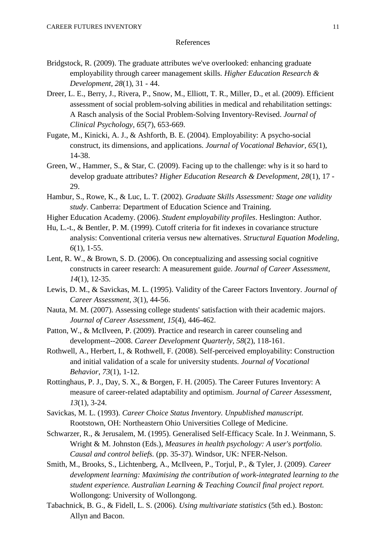## References

- <span id="page-10-4"></span>Bridgstock, R. (2009). The graduate attributes we've overlooked: enhancing graduate employability through career management skills. *Higher Education Research & Development, 28*(1), 31 - 44.
- <span id="page-10-6"></span>Dreer, L. E., Berry, J., Rivera, P., Snow, M., Elliott, T. R., Miller, D., et al. (2009). Efficient assessment of social problem-solving abilities in medical and rehabilitation settings: A Rasch analysis of the Social Problem-Solving Inventory-Revised. *Journal of Clinical Psychology, 65*(7), 653-669.
- <span id="page-10-1"></span>Fugate, M., Kinicki, A. J., & Ashforth, B. E. (2004). Employability: A psycho-social construct, its dimensions, and applications. *Journal of Vocational Behavior, 65*(1), 14-38.
- <span id="page-10-2"></span>Green, W., Hammer, S., & Star, C. (2009). Facing up to the challenge: why is it so hard to develop graduate attributes? *Higher Education Research & Development, 28*(1), 17 - 29.
- <span id="page-10-15"></span>Hambur, S., Rowe, K., & Luc, L. T. (2002). *Graduate Skills Assessment: Stage one validity study*. Canberra: Department of Education Science and Training.
- <span id="page-10-3"></span>Higher Education Academy. (2006). *Student employability profiles*. Heslington: Author.
- <span id="page-10-13"></span>Hu, L.-t., & Bentler, P. M. (1999). Cutoff criteria for fit indexes in covariance structure analysis: Conventional criteria versus new alternatives. *Structural Equation Modeling, 6*(1), 1-55.
- <span id="page-10-11"></span>Lent, R. W., & Brown, S. D. (2006). On conceptualizing and assessing social cognitive constructs in career research: A measurement guide. *Journal of Career Assessment, 14*(1), 12-35.
- <span id="page-10-8"></span>Lewis, D. M., & Savickas, M. L. (1995). Validity of the Career Factors Inventory. *Journal of Career Assessment, 3*(1), 44-56.
- <span id="page-10-9"></span>Nauta, M. M. (2007). Assessing college students' satisfaction with their academic majors. *Journal of Career Assessment, 15*(4), 446-462.
- <span id="page-10-5"></span>Patton, W., & McIlveen, P. (2009). Practice and research in career counseling and development--2008. *Career Development Quarterly, 58*(2), 118-161.
- <span id="page-10-14"></span>Rothwell, A., Herbert, I., & Rothwell, F. (2008). Self-perceived employability: Construction and initial validation of a scale for university students. *Journal of Vocational Behavior, 73*(1), 1-12.
- <span id="page-10-0"></span>Rottinghaus, P. J., Day, S. X., & Borgen, F. H. (2005). The Career Futures Inventory: A measure of career-related adaptability and optimism. *Journal of Career Assessment, 13*(1), 3-24.
- <span id="page-10-7"></span>Savickas, M. L. (1993). *Career Choice Status Inventory. Unpublished manuscript.* Rootstown, OH: Northeastern Ohio Universities College of Medicine.
- <span id="page-10-10"></span>Schwarzer, R., & Jerusalem, M. (1995). Generalised Self-Efficacy Scale. In J. Weinmann, S. Wright & M. Johnston (Eds.), *Measures in health psychology: A user's portfolio. Causal and control beliefs.* (pp. 35-37). Windsor, UK: NFER-Nelson.
- <span id="page-10-16"></span>Smith, M., Brooks, S., Lichtenberg, A., McIlveen, P., Torjul, P., & Tyler, J. (2009). *Career development learning: Maximising the contribution of work-integrated learning to the student experience. Australian Learning & Teaching Council final project report.* Wollongong: University of Wollongong.
- <span id="page-10-12"></span>Tabachnick, B. G., & Fidell, L. S. (2006). *Using multivariate statistics* (5th ed.). Boston: Allyn and Bacon.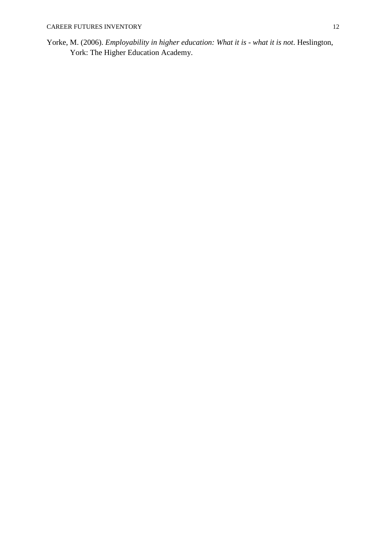<span id="page-11-0"></span>Yorke, M. (2006). *Employability in higher education: What it is - what it is not*. Heslington, York: The Higher Education Academy.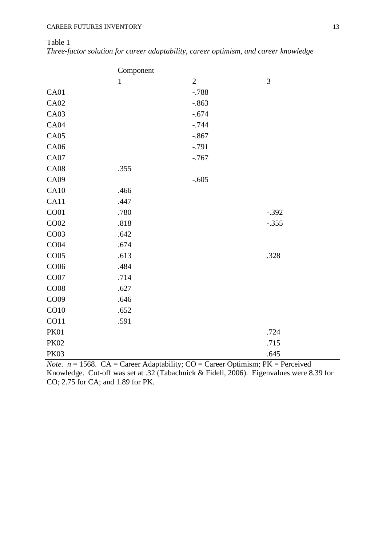# Table 1

|  |  | Three-factor solution for career adaptability, career optimism, and career knowledge |  |
|--|--|--------------------------------------------------------------------------------------|--|
|  |  |                                                                                      |  |

|                  | Component    |                |                                                                                                                                            |  |  |
|------------------|--------------|----------------|--------------------------------------------------------------------------------------------------------------------------------------------|--|--|
|                  | $\mathbf{1}$ | $\overline{2}$ | $\overline{3}$                                                                                                                             |  |  |
| CA01             |              | $-.788$        |                                                                                                                                            |  |  |
| <b>CA02</b>      |              | $-.863$        |                                                                                                                                            |  |  |
| CA03             |              | $-.674$        |                                                                                                                                            |  |  |
| CA04             |              | $-.744$        |                                                                                                                                            |  |  |
| CA05             |              | $-.867$        |                                                                                                                                            |  |  |
| CA06             |              | $-.791$        |                                                                                                                                            |  |  |
| CA07             |              | $-767$         |                                                                                                                                            |  |  |
| <b>CA08</b>      | .355         |                |                                                                                                                                            |  |  |
| CA09             |              | $-.605$        |                                                                                                                                            |  |  |
| CA10             | .466         |                |                                                                                                                                            |  |  |
| CA11             | .447         |                |                                                                                                                                            |  |  |
| CO <sub>01</sub> | .780         |                | $-.392$                                                                                                                                    |  |  |
| CO02             | .818         |                | $-.355$                                                                                                                                    |  |  |
| CO <sub>03</sub> | .642         |                |                                                                                                                                            |  |  |
| CO04             | .674         |                |                                                                                                                                            |  |  |
| CO <sub>05</sub> | .613         |                | .328                                                                                                                                       |  |  |
| CO06             | .484         |                |                                                                                                                                            |  |  |
| CO07             | .714         |                |                                                                                                                                            |  |  |
| CO08             | .627         |                |                                                                                                                                            |  |  |
| CO09             | .646         |                |                                                                                                                                            |  |  |
| CO10             | .652         |                |                                                                                                                                            |  |  |
| CO11             | .591         |                |                                                                                                                                            |  |  |
| <b>PK01</b>      |              |                | .724                                                                                                                                       |  |  |
| <b>PK02</b>      |              |                | .715                                                                                                                                       |  |  |
| <b>PK03</b>      |              |                | .645                                                                                                                                       |  |  |
|                  |              |                | $N_{\text{obs}}$ $p = 1568$ $\text{CA} = \text{Cerror}$ Adoptobility: $\text{CO} = \text{Cerror}$ Optimism: $\text{DK} = \text{Dercouved}$ |  |  |

*Note.*  $n = 1568$ . CA = Career Adaptability; CO = Career Optimism; PK = Perceived Knowledge. Cut-off was set at .32 [\(Tabachnick & Fidell, 2006\)](#page-10-12). Eigenvalues were 8.39 for CO; 2.75 for CA; and 1.89 for PK.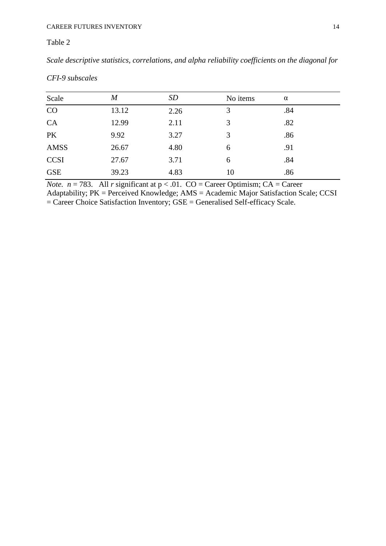# Table 2

*Scale descriptive statistics, correlations, and alpha reliability coefficients on the diagonal for* 

| Scale       | $\boldsymbol{M}$ | SD   | No items | $\alpha$ |  |
|-------------|------------------|------|----------|----------|--|
| CO          | 13.12            | 2.26 | 3        | .84      |  |
| CA          | 12.99            | 2.11 | 3        | .82      |  |
| PK          | 9.92             | 3.27 | 3        | .86      |  |
| <b>AMSS</b> | 26.67            | 4.80 | 6        | .91      |  |
| <b>CCSI</b> | 27.67            | 3.71 | 6        | .84      |  |
| <b>GSE</b>  | 39.23            | 4.83 | 10       | .86      |  |

*CFI-9 subscales*

*Note.*  $n = 783$ . All *r* significant at  $p < .01$ . CO = Career Optimism; CA = Career

Adaptability; PK = Perceived Knowledge; AMS = Academic Major Satisfaction Scale; CCSI  $=$  Career Choice Satisfaction Inventory;  $GSE =$  Generalised Self-efficacy Scale.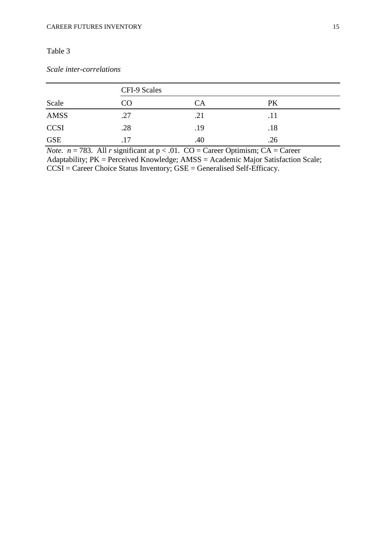# Table 3

# *Scale inter-correlations*

|             | CFI-9 Scales |     |     |  |  |
|-------------|--------------|-----|-----|--|--|
| Scale       | CO           | CA  | PK  |  |  |
| <b>AMSS</b> | .27          | .21 |     |  |  |
| <b>CCSI</b> | .28          | .19 | .18 |  |  |
| <b>GSE</b>  | .17          | .40 | .26 |  |  |

*Note.*  $n = 783$ . All *r* significant at  $p < .01$ . CO = Career Optimism; CA = Career Adaptability; PK = Perceived Knowledge; AMSS = Academic Major Satisfaction Scale; CCSI = Career Choice Status Inventory; GSE = Generalised Self-Efficacy.